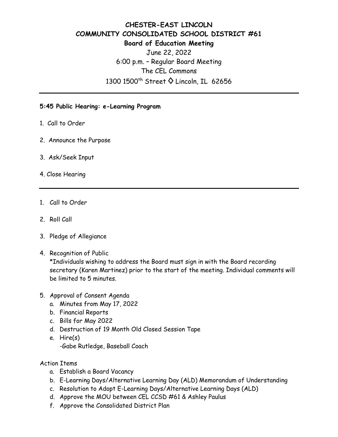## **CHESTER-EAST LINCOLN COMMUNITY CONSOLIDATED SCHOOL DISTRICT #61 Board of Education Meeting**  June 22, 2022 6:00 p.m. – Regular Board Meeting The CEL Commons 1300 1500<sup>th</sup> Street ♦ Lincoln, IL 62656

## **5:45 Public Hearing: e-Learning Program**

- 1. Call to Order
- 2. Announce the Purpose
- 3. Ask/Seek Input
- 4. Close Hearing
- 1. Call to Order
- 2. Roll Call
- 3. Pledge of Allegiance
- 4. Recognition of Public

\*Individuals wishing to address the Board must sign in with the Board recording secretary (Karen Martinez) prior to the start of the meeting. Individual comments will be limited to 5 minutes.

- 5. Approval of Consent Agenda
	- a. Minutes from May 17, 2022
	- b. Financial Reports
	- c. Bills for May 2022
	- d. Destruction of 19 Month Old Closed Session Tape
	- e. Hire(s)
		- -Gabe Rutledge, Baseball Coach
- Action Items
	- a. Establish a Board Vacancy
	- b. E-Learning Days/Alternative Learning Day (ALD) Memorandum of Understanding
	- c. Resolution to Adopt E-Learning Days/Alternative Learning Days (ALD)
	- d. Approve the MOU between CEL CCSD #61 & Ashley Paulus
	- f. Approve the Consolidated District Plan